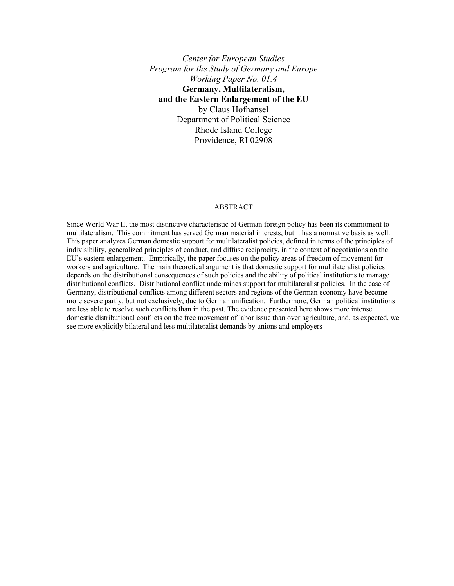*Center for European Studies Program for the Study of Germany and Europe Working Paper No. 01.4*  **Germany, Multilateralism, and the Eastern Enlargement of the EU**  by Claus Hofhansel Department of Political Science Rhode Island College Providence, RI 02908

#### ABSTRACT

Since World War II, the most distinctive characteristic of German foreign policy has been its commitment to multilateralism. This commitment has served German material interests, but it has a normative basis as well. This paper analyzes German domestic support for multilateralist policies, defined in terms of the principles of indivisibility, generalized principles of conduct, and diffuse reciprocity, in the context of negotiations on the EU's eastern enlargement. Empirically, the paper focuses on the policy areas of freedom of movement for workers and agriculture. The main theoretical argument is that domestic support for multilateralist policies depends on the distributional consequences of such policies and the ability of political institutions to manage distributional conflicts. Distributional conflict undermines support for multilateralist policies. In the case of Germany, distributional conflicts among different sectors and regions of the German economy have become more severe partly, but not exclusively, due to German unification. Furthermore, German political institutions are less able to resolve such conflicts than in the past. The evidence presented here shows more intense domestic distributional conflicts on the free movement of labor issue than over agriculture, and, as expected, we see more explicitly bilateral and less multilateralist demands by unions and employers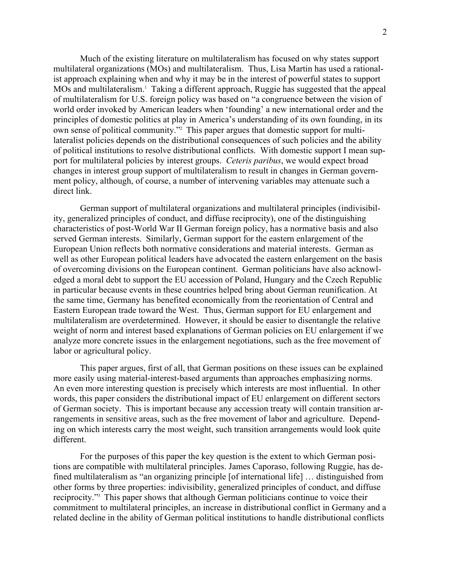Much of the existing literature on multilateralism has focused on why states support multilateral organizations (MOs) and multilateralism. Thus, Lisa Martin has used a rationalist approach explaining when and why it may be in the interest of powerful states to support MOs and multilateralism.<sup>1</sup> Taking a different approach, Ruggie has suggested that the appeal of multilateralism for U.S. foreign policy was based on "a congruence between the vision of world order invoked by American leaders when 'founding' a new international order and the principles of domestic politics at play in America's understanding of its own founding, in its own sense of political community."2 This paper argues that domestic support for multilateralist policies depends on the distributional consequences of such policies and the ability of political institutions to resolve distributional conflicts. With domestic support I mean support for multilateral policies by interest groups. *Ceteris paribus*, we would expect broad changes in interest group support of multilateralism to result in changes in German government policy, although, of course, a number of intervening variables may attenuate such a direct link.

German support of multilateral organizations and multilateral principles (indivisibility, generalized principles of conduct, and diffuse reciprocity), one of the distinguishing characteristics of post-World War II German foreign policy, has a normative basis and also served German interests. Similarly, German support for the eastern enlargement of the European Union reflects both normative considerations and material interests. German as well as other European political leaders have advocated the eastern enlargement on the basis of overcoming divisions on the European continent. German politicians have also acknowledged a moral debt to support the EU accession of Poland, Hungary and the Czech Republic in particular because events in these countries helped bring about German reunification. At the same time, Germany has benefited economically from the reorientation of Central and Eastern European trade toward the West. Thus, German support for EU enlargement and multilateralism are overdetermined. However, it should be easier to disentangle the relative weight of norm and interest based explanations of German policies on EU enlargement if we analyze more concrete issues in the enlargement negotiations, such as the free movement of labor or agricultural policy.

 This paper argues, first of all, that German positions on these issues can be explained more easily using material-interest-based arguments than approaches emphasizing norms. An even more interesting question is precisely which interests are most influential. In other words, this paper considers the distributional impact of EU enlargement on different sectors of German society. This is important because any accession treaty will contain transition arrangements in sensitive areas, such as the free movement of labor and agriculture. Depending on which interests carry the most weight, such transition arrangements would look quite different.

 For the purposes of this paper the key question is the extent to which German positions are compatible with multilateral principles. James Caporaso, following Ruggie, has defined multilateralism as "an organizing principle [of international life] … distinguished from other forms by three properties: indivisibility, generalized principles of conduct, and diffuse reciprocity."3 This paper shows that although German politicians continue to voice their commitment to multilateral principles, an increase in distributional conflict in Germany and a related decline in the ability of German political institutions to handle distributional conflicts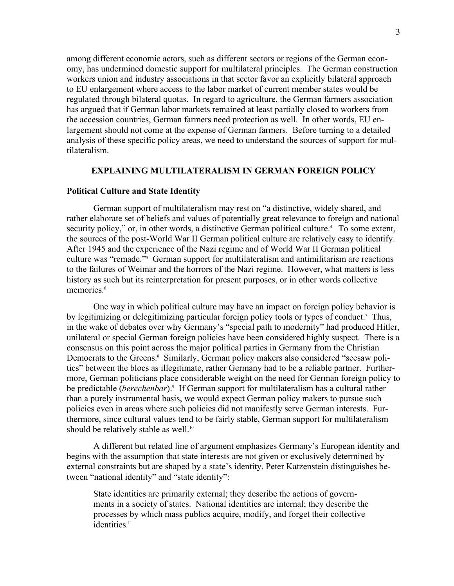among different economic actors, such as different sectors or regions of the German economy, has undermined domestic support for multilateral principles. The German construction workers union and industry associations in that sector favor an explicitly bilateral approach to EU enlargement where access to the labor market of current member states would be regulated through bilateral quotas. In regard to agriculture, the German farmers association has argued that if German labor markets remained at least partially closed to workers from the accession countries, German farmers need protection as well. In other words, EU enlargement should not come at the expense of German farmers. Before turning to a detailed analysis of these specific policy areas, we need to understand the sources of support for multilateralism.

# **EXPLAINING MULTILATERALISM IN GERMAN FOREIGN POLICY**

#### **Political Culture and State Identity**

 German support of multilateralism may rest on "a distinctive, widely shared, and rather elaborate set of beliefs and values of potentially great relevance to foreign and national security policy," or, in other words, a distinctive German political culture.<sup>4</sup> To some extent, the sources of the post-World War II German political culture are relatively easy to identify. After 1945 and the experience of the Nazi regime and of World War II German political culture was "remade."5 German support for multilateralism and antimilitarism are reactions to the failures of Weimar and the horrors of the Nazi regime. However, what matters is less history as such but its reinterpretation for present purposes, or in other words collective memories.<sup>6</sup>

One way in which political culture may have an impact on foreign policy behavior is by legitimizing or delegitimizing particular foreign policy tools or types of conduct.<sup>7</sup> Thus, in the wake of debates over why Germany's "special path to modernity" had produced Hitler, unilateral or special German foreign policies have been considered highly suspect. There is a consensus on this point across the major political parties in Germany from the Christian Democrats to the Greens.<sup>8</sup> Similarly, German policy makers also considered "seesaw politics" between the blocs as illegitimate, rather Germany had to be a reliable partner. Furthermore, German politicians place considerable weight on the need for German foreign policy to be predictable (*berechenbar*).<sup>9</sup> If German support for multilateralism has a cultural rather than a purely instrumental basis, we would expect German policy makers to pursue such policies even in areas where such policies did not manifestly serve German interests. Furthermore, since cultural values tend to be fairly stable, German support for multilateralism should be relatively stable as well.<sup>10</sup>

 A different but related line of argument emphasizes Germany's European identity and begins with the assumption that state interests are not given or exclusively determined by external constraints but are shaped by a state's identity. Peter Katzenstein distinguishes between "national identity" and "state identity":

State identities are primarily external; they describe the actions of governments in a society of states. National identities are internal; they describe the processes by which mass publics acquire, modify, and forget their collective identities.<sup>11</sup>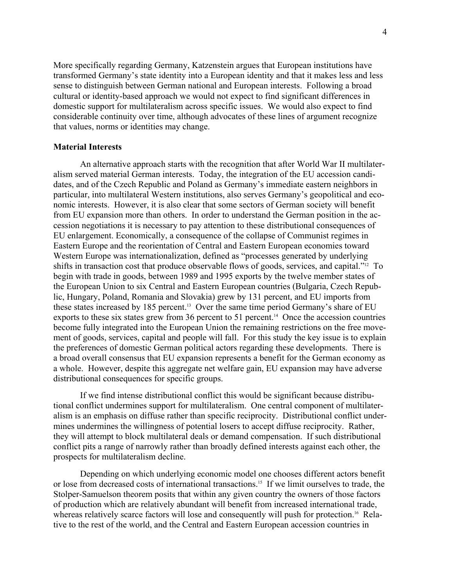More specifically regarding Germany, Katzenstein argues that European institutions have transformed Germany's state identity into a European identity and that it makes less and less sense to distinguish between German national and European interests. Following a broad cultural or identity-based approach we would not expect to find significant differences in domestic support for multilateralism across specific issues. We would also expect to find considerable continuity over time, although advocates of these lines of argument recognize that values, norms or identities may change.

#### **Material Interests**

 An alternative approach starts with the recognition that after World War II multilateralism served material German interests. Today, the integration of the EU accession candidates, and of the Czech Republic and Poland as Germany's immediate eastern neighbors in particular, into multilateral Western institutions, also serves Germany's geopolitical and economic interests. However, it is also clear that some sectors of German society will benefit from EU expansion more than others. In order to understand the German position in the accession negotiations it is necessary to pay attention to these distributional consequences of EU enlargement. Economically, a consequence of the collapse of Communist regimes in Eastern Europe and the reorientation of Central and Eastern European economies toward Western Europe was internationalization, defined as "processes generated by underlying shifts in transaction cost that produce observable flows of goods, services, and capital."12 To begin with trade in goods, between 1989 and 1995 exports by the twelve member states of the European Union to six Central and Eastern European countries (Bulgaria, Czech Republic, Hungary, Poland, Romania and Slovakia) grew by 131 percent, and EU imports from these states increased by 185 percent.<sup>13</sup> Over the same time period Germany's share of EU exports to these six states grew from 36 percent to 51 percent.<sup>14</sup> Once the accession countries become fully integrated into the European Union the remaining restrictions on the free movement of goods, services, capital and people will fall. For this study the key issue is to explain the preferences of domestic German political actors regarding these developments. There is a broad overall consensus that EU expansion represents a benefit for the German economy as a whole. However, despite this aggregate net welfare gain, EU expansion may have adverse distributional consequences for specific groups.

 If we find intense distributional conflict this would be significant because distributional conflict undermines support for multilateralism. One central component of multilateralism is an emphasis on diffuse rather than specific reciprocity. Distributional conflict undermines undermines the willingness of potential losers to accept diffuse reciprocity. Rather, they will attempt to block multilateral deals or demand compensation. If such distributional conflict pits a range of narrowly rather than broadly defined interests against each other, the prospects for multilateralism decline.

 Depending on which underlying economic model one chooses different actors benefit or lose from decreased costs of international transactions.<sup>15</sup> If we limit ourselves to trade, the Stolper-Samuelson theorem posits that within any given country the owners of those factors of production which are relatively abundant will benefit from increased international trade, whereas relatively scarce factors will lose and consequently will push for protection.<sup>16</sup> Relative to the rest of the world, and the Central and Eastern European accession countries in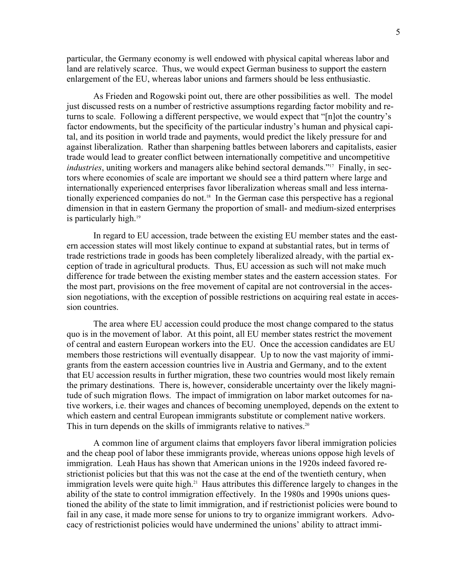particular, the Germany economy is well endowed with physical capital whereas labor and land are relatively scarce. Thus, we would expect German business to support the eastern enlargement of the EU, whereas labor unions and farmers should be less enthusiastic.

 As Frieden and Rogowski point out, there are other possibilities as well. The model just discussed rests on a number of restrictive assumptions regarding factor mobility and returns to scale. Following a different perspective, we would expect that "[n]ot the country's factor endowments, but the specificity of the particular industry's human and physical capital, and its position in world trade and payments, would predict the likely pressure for and against liberalization. Rather than sharpening battles between laborers and capitalists, easier trade would lead to greater conflict between internationally competitive and uncompetitive *industries*, uniting workers and managers alike behind sectoral demands."<sup>17</sup> Finally, in sectors where economies of scale are important we should see a third pattern where large and internationally experienced enterprises favor liberalization whereas small and less internationally experienced companies do not.<sup>18</sup> In the German case this perspective has a regional dimension in that in eastern Germany the proportion of small- and medium-sized enterprises is particularly high.<sup>19</sup>

 In regard to EU accession, trade between the existing EU member states and the eastern accession states will most likely continue to expand at substantial rates, but in terms of trade restrictions trade in goods has been completely liberalized already, with the partial exception of trade in agricultural products. Thus, EU accession as such will not make much difference for trade between the existing member states and the eastern accession states. For the most part, provisions on the free movement of capital are not controversial in the accession negotiations, with the exception of possible restrictions on acquiring real estate in accession countries.

 The area where EU accession could produce the most change compared to the status quo is in the movement of labor. At this point, all EU member states restrict the movement of central and eastern European workers into the EU. Once the accession candidates are EU members those restrictions will eventually disappear. Up to now the vast majority of immigrants from the eastern accession countries live in Austria and Germany, and to the extent that EU accession results in further migration, these two countries would most likely remain the primary destinations. There is, however, considerable uncertainty over the likely magnitude of such migration flows. The impact of immigration on labor market outcomes for native workers, i.e. their wages and chances of becoming unemployed, depends on the extent to which eastern and central European immigrants substitute or complement native workers. This in turn depends on the skills of immigrants relative to natives.<sup>20</sup>

 A common line of argument claims that employers favor liberal immigration policies and the cheap pool of labor these immigrants provide, whereas unions oppose high levels of immigration. Leah Haus has shown that American unions in the 1920s indeed favored restrictionist policies but that this was not the case at the end of the twentieth century, when immigration levels were quite high.<sup>21</sup> Haus attributes this difference largely to changes in the ability of the state to control immigration effectively. In the 1980s and 1990s unions questioned the ability of the state to limit immigration, and if restrictionist policies were bound to fail in any case, it made more sense for unions to try to organize immigrant workers. Advocacy of restrictionist policies would have undermined the unions' ability to attract immi-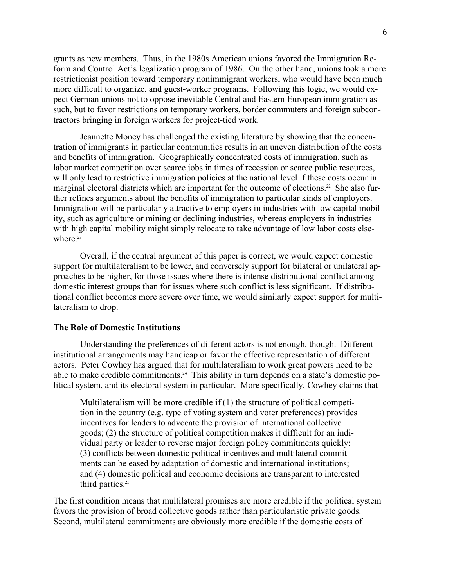grants as new members. Thus, in the 1980s American unions favored the Immigration Reform and Control Act's legalization program of 1986. On the other hand, unions took a more restrictionist position toward temporary nonimmigrant workers, who would have been much more difficult to organize, and guest-worker programs. Following this logic, we would expect German unions not to oppose inevitable Central and Eastern European immigration as such, but to favor restrictions on temporary workers, border commuters and foreign subcontractors bringing in foreign workers for project-tied work.

 Jeannette Money has challenged the existing literature by showing that the concentration of immigrants in particular communities results in an uneven distribution of the costs and benefits of immigration. Geographically concentrated costs of immigration, such as labor market competition over scarce jobs in times of recession or scarce public resources, will only lead to restrictive immigration policies at the national level if these costs occur in marginal electoral districts which are important for the outcome of elections.<sup>22</sup> She also further refines arguments about the benefits of immigration to particular kinds of employers. Immigration will be particularly attractive to employers in industries with low capital mobility, such as agriculture or mining or declining industries, whereas employers in industries with high capital mobility might simply relocate to take advantage of low labor costs elsewhere<sup>23</sup>

 Overall, if the central argument of this paper is correct, we would expect domestic support for multilateralism to be lower, and conversely support for bilateral or unilateral approaches to be higher, for those issues where there is intense distributional conflict among domestic interest groups than for issues where such conflict is less significant. If distributional conflict becomes more severe over time, we would similarly expect support for multilateralism to drop.

## **The Role of Domestic Institutions**

 Understanding the preferences of different actors is not enough, though. Different institutional arrangements may handicap or favor the effective representation of different actors. Peter Cowhey has argued that for multilateralism to work great powers need to be able to make credible commitments.<sup>24</sup> This ability in turn depends on a state's domestic political system, and its electoral system in particular. More specifically, Cowhey claims that

Multilateralism will be more credible if (1) the structure of political competition in the country (e.g. type of voting system and voter preferences) provides incentives for leaders to advocate the provision of international collective goods; (2) the structure of political competition makes it difficult for an individual party or leader to reverse major foreign policy commitments quickly; (3) conflicts between domestic political incentives and multilateral commitments can be eased by adaptation of domestic and international institutions; and (4) domestic political and economic decisions are transparent to interested third parties.<sup>25</sup>

The first condition means that multilateral promises are more credible if the political system favors the provision of broad collective goods rather than particularistic private goods. Second, multilateral commitments are obviously more credible if the domestic costs of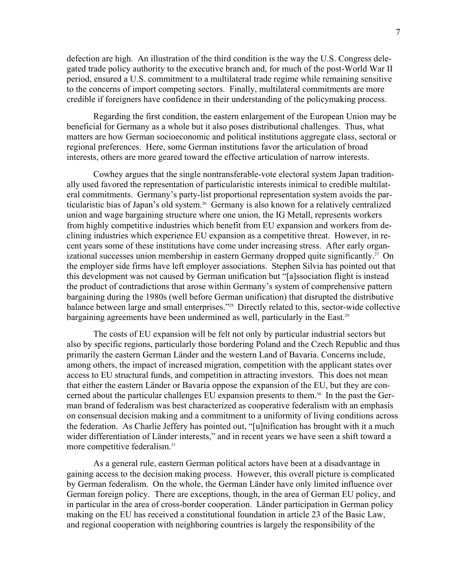defection are high. An illustration of the third condition is the way the U.S. Congress delegated trade policy authority to the executive branch and, for much of the post-World War II period, ensured a U.S. commitment to a multilateral trade regime while remaining sensitive to the concerns of import competing sectors. Finally, multilateral commitments are more credible if foreigners have confidence in their understanding of the policymaking process.

Regarding the first condition, the eastern enlargement of the European Union may be beneficial for Germany as a whole but it also poses distributional challenges. Thus, what matters are how German socioeconomic and political institutions aggregate class, sectoral or regional preferences. Here, some German institutions favor the articulation of broad interests, others are more geared toward the effective articulation of narrow interests.

Cowhey argues that the single nontransferable-vote electoral system Japan traditionally used favored the representation of particularistic interests inimical to credible multilateral commitments. Germany's party-list proportional representation system avoids the particularistic bias of Japan's old system.<sup>26</sup> Germany is also known for a relatively centralized union and wage bargaining structure where one union, the IG Metall, represents workers from highly competitive industries which benefit from EU expansion and workers from declining industries which experience EU expansion as a competitive threat. However, in recent years some of these institutions have come under increasing stress. After early organizational successes union membership in eastern Germany dropped quite significantly.<sup>27</sup> On the employer side firms have left employer associations. Stephen Silvia has pointed out that this development was not caused by German unification but "[a]ssociation flight is instead the product of contradictions that arose within Germany's system of comprehensive pattern bargaining during the 1980s (well before German unification) that disrupted the distributive balance between large and small enterprises."28 Directly related to this, sector-wide collective bargaining agreements have been undermined as well, particularly in the East.<sup>29</sup>

The costs of EU expansion will be felt not only by particular industrial sectors but also by specific regions, particularly those bordering Poland and the Czech Republic and thus primarily the eastern German Länder and the western Land of Bavaria. Concerns include, among others, the impact of increased migration, competition with the applicant states over access to EU structural funds, and competition in attracting investors. This does not mean that either the eastern Länder or Bavaria oppose the expansion of the EU, but they are concerned about the particular challenges EU expansion presents to them.<sup>30</sup> In the past the German brand of federalism was best characterized as cooperative federalism with an emphasis on consensual decision making and a commitment to a uniformity of living conditions across the federation. As Charlie Jeffery has pointed out, "[u]nification has brought with it a much wider differentiation of Länder interests," and in recent years we have seen a shift toward a more competitive federalism.31

As a general rule, eastern German political actors have been at a disadvantage in gaining access to the decision making process. However, this overall picture is complicated by German federalism. On the whole, the German Länder have only limited influence over German foreign policy. There are exceptions, though, in the area of German EU policy, and in particular in the area of cross-border cooperation. Länder participation in German policy making on the EU has received a constitutional foundation in article 23 of the Basic Law, and regional cooperation with neighboring countries is largely the responsibility of the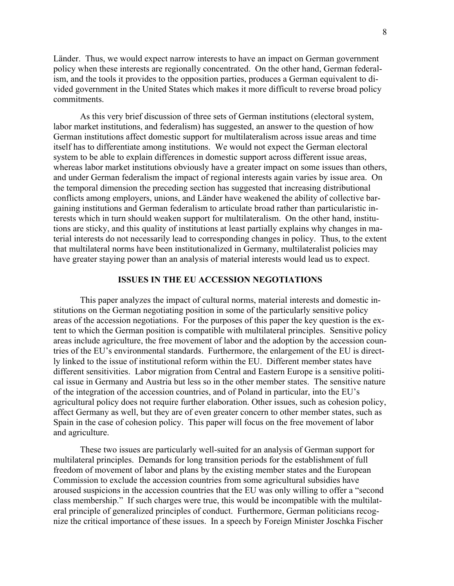Länder. Thus, we would expect narrow interests to have an impact on German government policy when these interests are regionally concentrated. On the other hand, German federalism, and the tools it provides to the opposition parties, produces a German equivalent to divided government in the United States which makes it more difficult to reverse broad policy commitments.

As this very brief discussion of three sets of German institutions (electoral system, labor market institutions, and federalism) has suggested, an answer to the question of how German institutions affect domestic support for multilateralism across issue areas and time itself has to differentiate among institutions. We would not expect the German electoral system to be able to explain differences in domestic support across different issue areas, whereas labor market institutions obviously have a greater impact on some issues than others, and under German federalism the impact of regional interests again varies by issue area. On the temporal dimension the preceding section has suggested that increasing distributional conflicts among employers, unions, and Länder have weakened the ability of collective bargaining institutions and German federalism to articulate broad rather than particularistic interests which in turn should weaken support for multilateralism. On the other hand, institutions are sticky, and this quality of institutions at least partially explains why changes in material interests do not necessarily lead to corresponding changes in policy. Thus, to the extent that multilateral norms have been institutionalized in Germany, multilateralist policies may have greater staying power than an analysis of material interests would lead us to expect.

## **ISSUES IN THE EU ACCESSION NEGOTIATIONS**

 This paper analyzes the impact of cultural norms, material interests and domestic institutions on the German negotiating position in some of the particularly sensitive policy areas of the accession negotiations. For the purposes of this paper the key question is the extent to which the German position is compatible with multilateral principles. Sensitive policy areas include agriculture, the free movement of labor and the adoption by the accession countries of the EU's environmental standards. Furthermore, the enlargement of the EU is directly linked to the issue of institutional reform within the EU. Different member states have different sensitivities. Labor migration from Central and Eastern Europe is a sensitive political issue in Germany and Austria but less so in the other member states. The sensitive nature of the integration of the accession countries, and of Poland in particular, into the EU's agricultural policy does not require further elaboration. Other issues, such as cohesion policy, affect Germany as well, but they are of even greater concern to other member states, such as Spain in the case of cohesion policy. This paper will focus on the free movement of labor and agriculture.

 These two issues are particularly well-suited for an analysis of German support for multilateral principles. Demands for long transition periods for the establishment of full freedom of movement of labor and plans by the existing member states and the European Commission to exclude the accession countries from some agricultural subsidies have aroused suspicions in the accession countries that the EU was only willing to offer a "second class membership." If such charges were true, this would be incompatible with the multilateral principle of generalized principles of conduct. Furthermore, German politicians recognize the critical importance of these issues. In a speech by Foreign Minister Joschka Fischer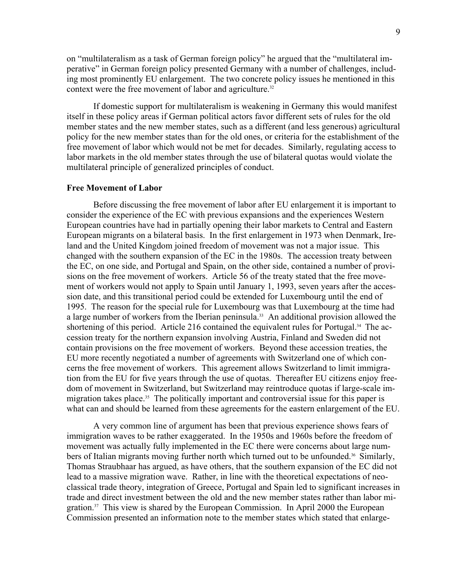on "multilateralism as a task of German foreign policy" he argued that the "multilateral imperative" in German foreign policy presented Germany with a number of challenges, including most prominently EU enlargement. The two concrete policy issues he mentioned in this context were the free movement of labor and agriculture.<sup>32</sup>

 If domestic support for multilateralism is weakening in Germany this would manifest itself in these policy areas if German political actors favor different sets of rules for the old member states and the new member states, such as a different (and less generous) agricultural policy for the new member states than for the old ones, or criteria for the establishment of the free movement of labor which would not be met for decades. Similarly, regulating access to labor markets in the old member states through the use of bilateral quotas would violate the multilateral principle of generalized principles of conduct.

#### **Free Movement of Labor**

 Before discussing the free movement of labor after EU enlargement it is important to consider the experience of the EC with previous expansions and the experiences Western European countries have had in partially opening their labor markets to Central and Eastern European migrants on a bilateral basis. In the first enlargement in 1973 when Denmark, Ireland and the United Kingdom joined freedom of movement was not a major issue. This changed with the southern expansion of the EC in the 1980s. The accession treaty between the EC, on one side, and Portugal and Spain, on the other side, contained a number of provisions on the free movement of workers. Article 56 of the treaty stated that the free movement of workers would not apply to Spain until January 1, 1993, seven years after the accession date, and this transitional period could be extended for Luxembourg until the end of 1995. The reason for the special rule for Luxembourg was that Luxembourg at the time had a large number of workers from the Iberian peninsula.<sup>33</sup> An additional provision allowed the shortening of this period. Article 216 contained the equivalent rules for Portugal.<sup>34</sup> The accession treaty for the northern expansion involving Austria, Finland and Sweden did not contain provisions on the free movement of workers. Beyond these accession treaties, the EU more recently negotiated a number of agreements with Switzerland one of which concerns the free movement of workers. This agreement allows Switzerland to limit immigration from the EU for five years through the use of quotas. Thereafter EU citizens enjoy freedom of movement in Switzerland, but Switzerland may reintroduce quotas if large-scale immigration takes place.<sup>35</sup> The politically important and controversial issue for this paper is what can and should be learned from these agreements for the eastern enlargement of the EU.

 A very common line of argument has been that previous experience shows fears of immigration waves to be rather exaggerated. In the 1950s and 1960s before the freedom of movement was actually fully implemented in the EC there were concerns about large numbers of Italian migrants moving further north which turned out to be unfounded.<sup>36</sup> Similarly, Thomas Straubhaar has argued, as have others, that the southern expansion of the EC did not lead to a massive migration wave. Rather, in line with the theoretical expectations of neoclassical trade theory, integration of Greece, Portugal and Spain led to significant increases in trade and direct investment between the old and the new member states rather than labor migration.37 This view is shared by the European Commission. In April 2000 the European Commission presented an information note to the member states which stated that enlarge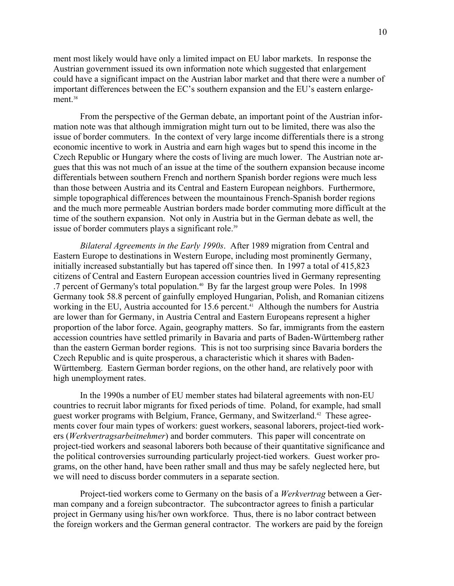ment most likely would have only a limited impact on EU labor markets. In response the Austrian government issued its own information note which suggested that enlargement could have a significant impact on the Austrian labor market and that there were a number of important differences between the EC's southern expansion and the EU's eastern enlargement.<sup>38</sup>

 From the perspective of the German debate, an important point of the Austrian information note was that although immigration might turn out to be limited, there was also the issue of border commuters. In the context of very large income differentials there is a strong economic incentive to work in Austria and earn high wages but to spend this income in the Czech Republic or Hungary where the costs of living are much lower. The Austrian note argues that this was not much of an issue at the time of the southern expansion because income differentials between southern French and northern Spanish border regions were much less than those between Austria and its Central and Eastern European neighbors. Furthermore, simple topographical differences between the mountainous French-Spanish border regions and the much more permeable Austrian borders made border commuting more difficult at the time of the southern expansion. Not only in Austria but in the German debate as well, the issue of border commuters plays a significant role.<sup>39</sup>

*Bilateral Agreements in the Early 1990s*. After 1989 migration from Central and Eastern Europe to destinations in Western Europe, including most prominently Germany, initially increased substantially but has tapered off since then. In 1997 a total of 415,823 citizens of Central and Eastern European accession countries lived in Germany representing .7 percent of Germany's total population.<sup>40</sup> By far the largest group were Poles. In 1998 Germany took 58.8 percent of gainfully employed Hungarian, Polish, and Romanian citizens working in the EU, Austria accounted for 15.6 percent.<sup>41</sup> Although the numbers for Austria are lower than for Germany, in Austria Central and Eastern Europeans represent a higher proportion of the labor force. Again, geography matters. So far, immigrants from the eastern accession countries have settled primarily in Bavaria and parts of Baden-Württemberg rather than the eastern German border regions. This is not too surprising since Bavaria borders the Czech Republic and is quite prosperous, a characteristic which it shares with Baden-Württemberg. Eastern German border regions, on the other hand, are relatively poor with high unemployment rates.

 In the 1990s a number of EU member states had bilateral agreements with non-EU countries to recruit labor migrants for fixed periods of time. Poland, for example, had small guest worker programs with Belgium, France, Germany, and Switzerland.42 These agreements cover four main types of workers: guest workers, seasonal laborers, project-tied workers (*Werkvertragsarbeitnehmer*) and border commuters. This paper will concentrate on project-tied workers and seasonal laborers both because of their quantitative significance and the political controversies surrounding particularly project-tied workers. Guest worker programs, on the other hand, have been rather small and thus may be safely neglected here, but we will need to discuss border commuters in a separate section.

 Project-tied workers come to Germany on the basis of a *Werkvertrag* between a German company and a foreign subcontractor. The subcontractor agrees to finish a particular project in Germany using his/her own workforce. Thus, there is no labor contract between the foreign workers and the German general contractor. The workers are paid by the foreign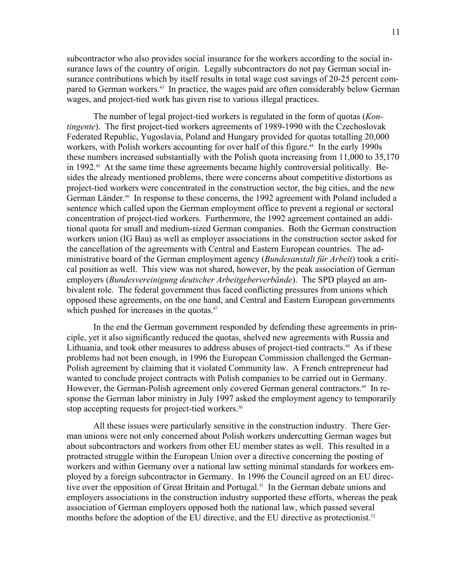subcontractor who also provides social insurance for the workers according to the social insurance laws of the country of origin. Legally subcontractors do not pay German social insurance contributions which by itself results in total wage cost savings of 20-25 percent compared to German workers.<sup>43</sup> In practice, the wages paid are often considerably below German wages, and project-tied work has given rise to various illegal practices.

 The number of legal project-tied workers is regulated in the form of quotas (*Kontingente*). The first project-tied workers agreements of 1989-1990 with the Czechoslovak Federated Republic, Yugoslavia, Poland and Hungary provided for quotas totalling 20,000 workers, with Polish workers accounting for over half of this figure.<sup>44</sup> In the early 1990s these numbers increased substantially with the Polish quota increasing from 11,000 to 35,170 in 1992.<sup>45</sup> At the same time these agreements became highly controversial politically. Besides the already mentioned problems, there were concerns about competitive distortions as project-tied workers were concentrated in the construction sector, the big cities, and the new German Länder.46 In response to these concerns, the 1992 agreement with Poland included a sentence which called upon the German employment office to prevent a regional or sectoral concentration of project-tied workers. Furthermore, the 1992 agreement contained an additional quota for small and medium-sized German companies. Both the German construction workers union (IG Bau) as well as employer associations in the construction sector asked for the cancellation of the agreements with Central and Eastern European countries. The administrative board of the German employment agency (*Bundesanstalt für Arbeit*) took a critical position as well. This view was not shared, however, by the peak association of German employers (*Bundesvereinigung deutscher Arbeitgeberverbände*). The SPD played an ambivalent role. The federal government thus faced conflicting pressures from unions which opposed these agreements, on the one hand, and Central and Eastern European governments which pushed for increases in the quotas.<sup>47</sup>

 In the end the German government responded by defending these agreements in principle, yet it also significantly reduced the quotas, shelved new agreements with Russia and Lithuania, and took other measures to address abuses of project-tied contracts.<sup>48</sup> As if these problems had not been enough, in 1996 the European Commission challenged the German-Polish agreement by claiming that it violated Community law. A French entrepreneur had wanted to conclude project contracts with Polish companies to be carried out in Germany. However, the German-Polish agreement only covered German general contractors.<sup>49</sup> In response the German labor ministry in July 1997 asked the employment agency to temporarily stop accepting requests for project-tied workers.<sup>50</sup>

 All these issues were particularly sensitive in the construction industry. There German unions were not only concerned about Polish workers undercutting German wages but about subcontractors and workers from other EU member states as well. This resulted in a protracted struggle within the European Union over a directive concerning the posting of workers and within Germany over a national law setting minimal standards for workers employed by a foreign subcontractor in Germany. In 1996 the Council agreed on an EU directive over the opposition of Great Britain and Portugal.<sup>51</sup> In the German debate unions and employers associations in the construction industry supported these efforts, whereas the peak association of German employers opposed both the national law, which passed several months before the adoption of the EU directive, and the EU directive as protectionist.<sup>52</sup>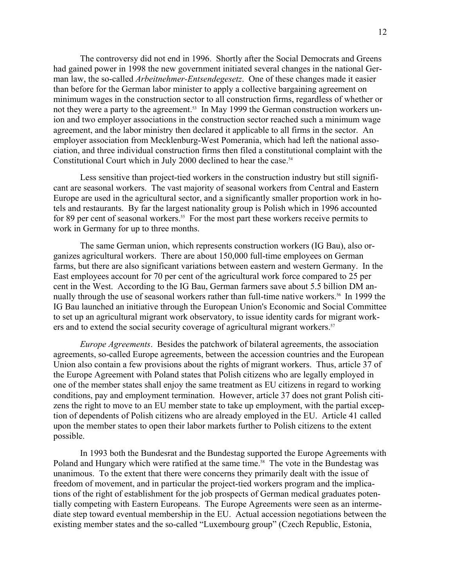The controversy did not end in 1996. Shortly after the Social Democrats and Greens had gained power in 1998 the new government initiated several changes in the national German law, the so-called *Arbeitnehmer-Entsendegesetz*. One of these changes made it easier than before for the German labor minister to apply a collective bargaining agreement on minimum wages in the construction sector to all construction firms, regardless of whether or not they were a party to the agreement.<sup>53</sup> In May 1999 the German construction workers union and two employer associations in the construction sector reached such a minimum wage agreement, and the labor ministry then declared it applicable to all firms in the sector. An employer association from Mecklenburg-West Pomerania, which had left the national association, and three individual construction firms then filed a constitutional complaint with the Constitutional Court which in July 2000 declined to hear the case.<sup>54</sup>

 Less sensitive than project-tied workers in the construction industry but still significant are seasonal workers. The vast majority of seasonal workers from Central and Eastern Europe are used in the agricultural sector, and a significantly smaller proportion work in hotels and restaurants. By far the largest nationality group is Polish which in 1996 accounted for 89 per cent of seasonal workers.<sup>55</sup> For the most part these workers receive permits to work in Germany for up to three months.

 The same German union, which represents construction workers (IG Bau), also organizes agricultural workers. There are about 150,000 full-time employees on German farms, but there are also significant variations between eastern and western Germany. In the East employees account for 70 per cent of the agricultural work force compared to 25 per cent in the West. According to the IG Bau, German farmers save about 5.5 billion DM annually through the use of seasonal workers rather than full-time native workers.<sup>56</sup> In 1999 the IG Bau launched an initiative through the European Union's Economic and Social Committee to set up an agricultural migrant work observatory, to issue identity cards for migrant workers and to extend the social security coverage of agricultural migrant workers.<sup>57</sup>

*Europe Agreements*. Besides the patchwork of bilateral agreements, the association agreements, so-called Europe agreements, between the accession countries and the European Union also contain a few provisions about the rights of migrant workers. Thus, article 37 of the Europe Agreement with Poland states that Polish citizens who are legally employed in one of the member states shall enjoy the same treatment as EU citizens in regard to working conditions, pay and employment termination. However, article 37 does not grant Polish citizens the right to move to an EU member state to take up employment, with the partial exception of dependents of Polish citizens who are already employed in the EU. Article 41 called upon the member states to open their labor markets further to Polish citizens to the extent possible.

 In 1993 both the Bundesrat and the Bundestag supported the Europe Agreements with Poland and Hungary which were ratified at the same time.<sup>58</sup> The vote in the Bundestag was unanimous. To the extent that there were concerns they primarily dealt with the issue of freedom of movement, and in particular the project-tied workers program and the implications of the right of establishment for the job prospects of German medical graduates potentially competing with Eastern Europeans. The Europe Agreements were seen as an intermediate step toward eventual membership in the EU. Actual accession negotiations between the existing member states and the so-called "Luxembourg group" (Czech Republic, Estonia,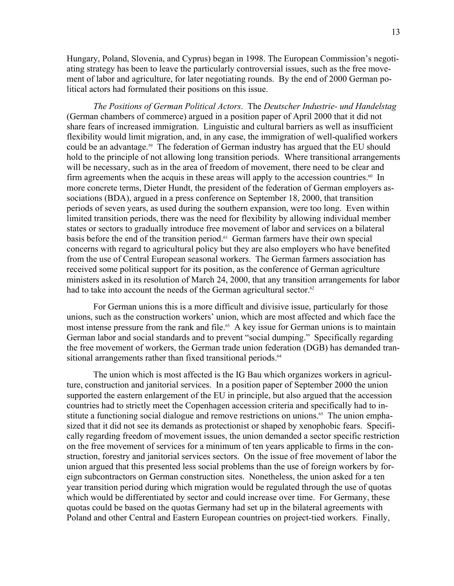Hungary, Poland, Slovenia, and Cyprus) began in 1998. The European Commission's negotiating strategy has been to leave the particularly controversial issues, such as the free movement of labor and agriculture, for later negotiating rounds. By the end of 2000 German political actors had formulated their positions on this issue.

*The Positions of German Political Actors*. The *Deutscher Industrie- und Handelstag* (German chambers of commerce) argued in a position paper of April 2000 that it did not share fears of increased immigration. Linguistic and cultural barriers as well as insufficient flexibility would limit migration, and, in any case, the immigration of well-qualified workers could be an advantage.<sup>59</sup> The federation of German industry has argued that the EU should hold to the principle of not allowing long transition periods. Where transitional arrangements will be necessary, such as in the area of freedom of movement, there need to be clear and firm agreements when the acquis in these areas will apply to the accession countries.<sup>60</sup> In more concrete terms, Dieter Hundt, the president of the federation of German employers associations (BDA), argued in a press conference on September 18, 2000, that transition periods of seven years, as used during the southern expansion, were too long. Even within limited transition periods, there was the need for flexibility by allowing individual member states or sectors to gradually introduce free movement of labor and services on a bilateral basis before the end of the transition period.61 German farmers have their own special concerns with regard to agricultural policy but they are also employers who have benefited from the use of Central European seasonal workers. The German farmers association has received some political support for its position, as the conference of German agriculture ministers asked in its resolution of March 24, 2000, that any transition arrangements for labor had to take into account the needs of the German agricultural sector.<sup>62</sup>

 For German unions this is a more difficult and divisive issue, particularly for those unions, such as the construction workers' union, which are most affected and which face the most intense pressure from the rank and file.<sup>63</sup> A key issue for German unions is to maintain German labor and social standards and to prevent "social dumping." Specifically regarding the free movement of workers, the German trade union federation (DGB) has demanded transitional arrangements rather than fixed transitional periods.<sup>64</sup>

The union which is most affected is the IG Bau which organizes workers in agriculture, construction and janitorial services. In a position paper of September 2000 the union supported the eastern enlargement of the EU in principle, but also argued that the accession countries had to strictly meet the Copenhagen accession criteria and specifically had to institute a functioning social dialogue and remove restrictions on unions.<sup>65</sup> The union emphasized that it did not see its demands as protectionist or shaped by xenophobic fears. Specifically regarding freedom of movement issues, the union demanded a sector specific restriction on the free movement of services for a minimum of ten years applicable to firms in the construction, forestry and janitorial services sectors. On the issue of free movement of labor the union argued that this presented less social problems than the use of foreign workers by foreign subcontractors on German construction sites. Nonetheless, the union asked for a ten year transition period during which migration would be regulated through the use of quotas which would be differentiated by sector and could increase over time. For Germany, these quotas could be based on the quotas Germany had set up in the bilateral agreements with Poland and other Central and Eastern European countries on project-tied workers. Finally,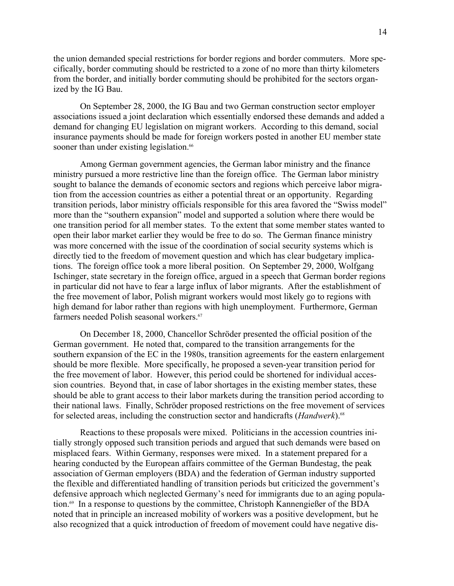the union demanded special restrictions for border regions and border commuters. More specifically, border commuting should be restricted to a zone of no more than thirty kilometers from the border, and initially border commuting should be prohibited for the sectors organized by the IG Bau.

On September 28, 2000, the IG Bau and two German construction sector employer associations issued a joint declaration which essentially endorsed these demands and added a demand for changing EU legislation on migrant workers. According to this demand, social insurance payments should be made for foreign workers posted in another EU member state sooner than under existing legislation.<sup>66</sup>

Among German government agencies, the German labor ministry and the finance ministry pursued a more restrictive line than the foreign office. The German labor ministry sought to balance the demands of economic sectors and regions which perceive labor migration from the accession countries as either a potential threat or an opportunity. Regarding transition periods, labor ministry officials responsible for this area favored the "Swiss model" more than the "southern expansion" model and supported a solution where there would be one transition period for all member states. To the extent that some member states wanted to open their labor market earlier they would be free to do so. The German finance ministry was more concerned with the issue of the coordination of social security systems which is directly tied to the freedom of movement question and which has clear budgetary implications. The foreign office took a more liberal position. On September 29, 2000, Wolfgang Ischinger, state secretary in the foreign office, argued in a speech that German border regions in particular did not have to fear a large influx of labor migrants. After the establishment of the free movement of labor, Polish migrant workers would most likely go to regions with high demand for labor rather than regions with high unemployment. Furthermore, German farmers needed Polish seasonal workers.<sup>67</sup>

On December 18, 2000, Chancellor Schröder presented the official position of the German government. He noted that, compared to the transition arrangements for the southern expansion of the EC in the 1980s, transition agreements for the eastern enlargement should be more flexible. More specifically, he proposed a seven-year transition period for the free movement of labor. However, this period could be shortened for individual accession countries. Beyond that, in case of labor shortages in the existing member states, these should be able to grant access to their labor markets during the transition period according to their national laws. Finally, Schröder proposed restrictions on the free movement of services for selected areas, including the construction sector and handicrafts (*Handwerk*).68

Reactions to these proposals were mixed. Politicians in the accession countries initially strongly opposed such transition periods and argued that such demands were based on misplaced fears. Within Germany, responses were mixed. In a statement prepared for a hearing conducted by the European affairs committee of the German Bundestag, the peak association of German employers (BDA) and the federation of German industry supported the flexible and differentiated handling of transition periods but criticized the government's defensive approach which neglected Germany's need for immigrants due to an aging population.<sup>69</sup> In a response to questions by the committee, Christoph Kannengießer of the BDA noted that in principle an increased mobility of workers was a positive development, but he also recognized that a quick introduction of freedom of movement could have negative dis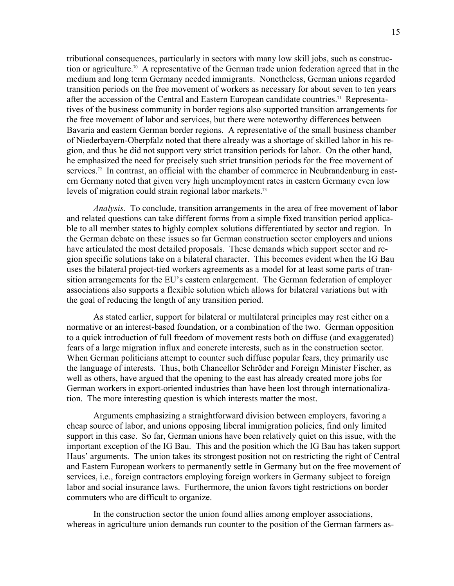tributional consequences, particularly in sectors with many low skill jobs, such as construction or agriculture.70 A representative of the German trade union federation agreed that in the medium and long term Germany needed immigrants. Nonetheless, German unions regarded transition periods on the free movement of workers as necessary for about seven to ten years after the accession of the Central and Eastern European candidate countries.71 Representatives of the business community in border regions also supported transition arrangements for the free movement of labor and services, but there were noteworthy differences between Bavaria and eastern German border regions. A representative of the small business chamber of Niederbayern-Oberpfalz noted that there already was a shortage of skilled labor in his region, and thus he did not support very strict transition periods for labor. On the other hand, he emphasized the need for precisely such strict transition periods for the free movement of services.<sup>72</sup> In contrast, an official with the chamber of commerce in Neubrandenburg in eastern Germany noted that given very high unemployment rates in eastern Germany even low levels of migration could strain regional labor markets.<sup>73</sup>

*Analysis*. To conclude, transition arrangements in the area of free movement of labor and related questions can take different forms from a simple fixed transition period applicable to all member states to highly complex solutions differentiated by sector and region. In the German debate on these issues so far German construction sector employers and unions have articulated the most detailed proposals. These demands which support sector and region specific solutions take on a bilateral character. This becomes evident when the IG Bau uses the bilateral project-tied workers agreements as a model for at least some parts of transition arrangements for the EU's eastern enlargement. The German federation of employer associations also supports a flexible solution which allows for bilateral variations but with the goal of reducing the length of any transition period.

As stated earlier, support for bilateral or multilateral principles may rest either on a normative or an interest-based foundation, or a combination of the two. German opposition to a quick introduction of full freedom of movement rests both on diffuse (and exaggerated) fears of a large migration influx and concrete interests, such as in the construction sector. When German politicians attempt to counter such diffuse popular fears, they primarily use the language of interests. Thus, both Chancellor Schröder and Foreign Minister Fischer, as well as others, have argued that the opening to the east has already created more jobs for German workers in export-oriented industries than have been lost through internationalization. The more interesting question is which interests matter the most.

Arguments emphasizing a straightforward division between employers, favoring a cheap source of labor, and unions opposing liberal immigration policies, find only limited support in this case. So far, German unions have been relatively quiet on this issue, with the important exception of the IG Bau. This and the position which the IG Bau has taken support Haus' arguments. The union takes its strongest position not on restricting the right of Central and Eastern European workers to permanently settle in Germany but on the free movement of services, i.e., foreign contractors employing foreign workers in Germany subject to foreign labor and social insurance laws. Furthermore, the union favors tight restrictions on border commuters who are difficult to organize.

In the construction sector the union found allies among employer associations, whereas in agriculture union demands run counter to the position of the German farmers as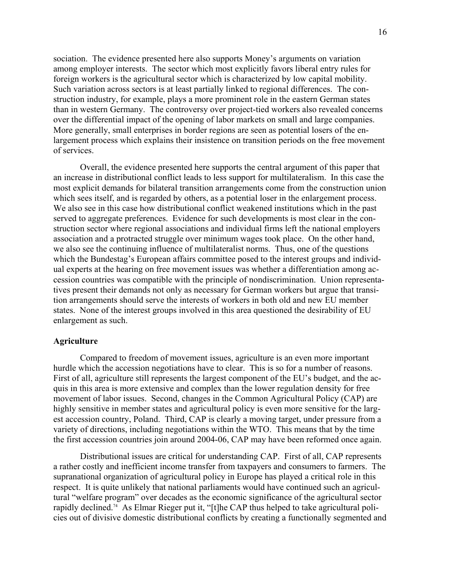sociation. The evidence presented here also supports Money's arguments on variation among employer interests. The sector which most explicitly favors liberal entry rules for foreign workers is the agricultural sector which is characterized by low capital mobility. Such variation across sectors is at least partially linked to regional differences. The construction industry, for example, plays a more prominent role in the eastern German states than in western Germany. The controversy over project-tied workers also revealed concerns over the differential impact of the opening of labor markets on small and large companies. More generally, small enterprises in border regions are seen as potential losers of the enlargement process which explains their insistence on transition periods on the free movement of services.

Overall, the evidence presented here supports the central argument of this paper that an increase in distributional conflict leads to less support for multilateralism. In this case the most explicit demands for bilateral transition arrangements come from the construction union which sees itself, and is regarded by others, as a potential loser in the enlargement process. We also see in this case how distributional conflict weakened institutions which in the past served to aggregate preferences. Evidence for such developments is most clear in the construction sector where regional associations and individual firms left the national employers association and a protracted struggle over minimum wages took place. On the other hand, we also see the continuing influence of multilateralist norms. Thus, one of the questions which the Bundestag's European affairs committee posed to the interest groups and individual experts at the hearing on free movement issues was whether a differentiation among accession countries was compatible with the principle of nondiscrimination. Union representatives present their demands not only as necessary for German workers but argue that transition arrangements should serve the interests of workers in both old and new EU member states. None of the interest groups involved in this area questioned the desirability of EU enlargement as such.

## **Agriculture**

 Compared to freedom of movement issues, agriculture is an even more important hurdle which the accession negotiations have to clear. This is so for a number of reasons. First of all, agriculture still represents the largest component of the EU's budget, and the acquis in this area is more extensive and complex than the lower regulation density for free movement of labor issues. Second, changes in the Common Agricultural Policy (CAP) are highly sensitive in member states and agricultural policy is even more sensitive for the largest accession country, Poland. Third, CAP is clearly a moving target, under pressure from a variety of directions, including negotiations within the WTO. This means that by the time the first accession countries join around 2004-06, CAP may have been reformed once again.

 Distributional issues are critical for understanding CAP. First of all, CAP represents a rather costly and inefficient income transfer from taxpayers and consumers to farmers. The supranational organization of agricultural policy in Europe has played a critical role in this respect. It is quite unlikely that national parliaments would have continued such an agricultural "welfare program" over decades as the economic significance of the agricultural sector rapidly declined.74 As Elmar Rieger put it, "[t]he CAP thus helped to take agricultural policies out of divisive domestic distributional conflicts by creating a functionally segmented and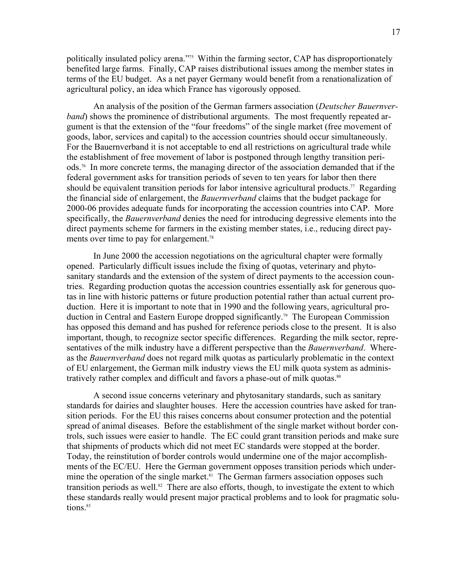politically insulated policy arena."75 Within the farming sector, CAP has disproportionately benefited large farms. Finally, CAP raises distributional issues among the member states in terms of the EU budget. As a net payer Germany would benefit from a renationalization of agricultural policy, an idea which France has vigorously opposed.

 An analysis of the position of the German farmers association (*Deutscher Bauernverband*) shows the prominence of distributional arguments. The most frequently repeated argument is that the extension of the "four freedoms" of the single market (free movement of goods, labor, services and capital) to the accession countries should occur simultaneously. For the Bauernverband it is not acceptable to end all restrictions on agricultural trade while the establishment of free movement of labor is postponed through lengthy transition periods.76 In more concrete terms, the managing director of the association demanded that if the federal government asks for transition periods of seven to ten years for labor then there should be equivalent transition periods for labor intensive agricultural products.<sup>77</sup> Regarding the financial side of enlargement, the *Bauernverband* claims that the budget package for 2000-06 provides adequate funds for incorporating the accession countries into CAP. More specifically, the *Bauernverband* denies the need for introducing degressive elements into the direct payments scheme for farmers in the existing member states, i.e., reducing direct payments over time to pay for enlargement.<sup>78</sup>

 In June 2000 the accession negotiations on the agricultural chapter were formally opened. Particularly difficult issues include the fixing of quotas, veterinary and phytosanitary standards and the extension of the system of direct payments to the accession countries. Regarding production quotas the accession countries essentially ask for generous quotas in line with historic patterns or future production potential rather than actual current production. Here it is important to note that in 1990 and the following years, agricultural production in Central and Eastern Europe dropped significantly.<sup>79</sup> The European Commission has opposed this demand and has pushed for reference periods close to the present. It is also important, though, to recognize sector specific differences. Regarding the milk sector, representatives of the milk industry have a different perspective than the *Bauernverband*. Whereas the *Bauernverband* does not regard milk quotas as particularly problematic in the context of EU enlargement, the German milk industry views the EU milk quota system as administratively rather complex and difficult and favors a phase-out of milk quotas.<sup>80</sup>

 A second issue concerns veterinary and phytosanitary standards, such as sanitary standards for dairies and slaughter houses. Here the accession countries have asked for transition periods. For the EU this raises concerns about consumer protection and the potential spread of animal diseases. Before the establishment of the single market without border controls, such issues were easier to handle. The EC could grant transition periods and make sure that shipments of products which did not meet EC standards were stopped at the border. Today, the reinstitution of border controls would undermine one of the major accomplishments of the EC/EU. Here the German government opposes transition periods which undermine the operation of the single market.<sup>81</sup> The German farmers association opposes such transition periods as well.<sup>82</sup> There are also efforts, though, to investigate the extent to which these standards really would present major practical problems and to look for pragmatic solutions.<sup>83</sup>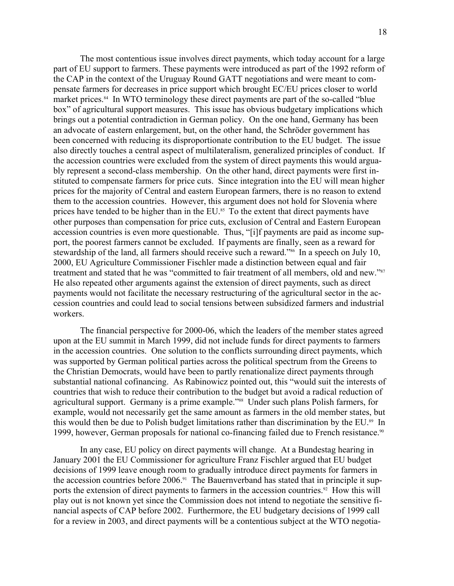The most contentious issue involves direct payments, which today account for a large part of EU support to farmers. These payments were introduced as part of the 1992 reform of the CAP in the context of the Uruguay Round GATT negotiations and were meant to compensate farmers for decreases in price support which brought EC/EU prices closer to world market prices.<sup>84</sup> In WTO terminology these direct payments are part of the so-called "blue" box" of agricultural support measures. This issue has obvious budgetary implications which brings out a potential contradiction in German policy. On the one hand, Germany has been an advocate of eastern enlargement, but, on the other hand, the Schröder government has been concerned with reducing its disproportionate contribution to the EU budget. The issue also directly touches a central aspect of multilateralism, generalized principles of conduct. If the accession countries were excluded from the system of direct payments this would arguably represent a second-class membership. On the other hand, direct payments were first instituted to compensate farmers for price cuts. Since integration into the EU will mean higher prices for the majority of Central and eastern European farmers, there is no reason to extend them to the accession countries. However, this argument does not hold for Slovenia where prices have tended to be higher than in the EU.<sup>85</sup> To the extent that direct payments have other purposes than compensation for price cuts, exclusion of Central and Eastern European accession countries is even more questionable. Thus, "[i]f payments are paid as income support, the poorest farmers cannot be excluded. If payments are finally, seen as a reward for stewardship of the land, all farmers should receive such a reward."<sup>86</sup> In a speech on July 10, 2000, EU Agriculture Commissioner Fischler made a distinction between equal and fair treatment and stated that he was "committed to fair treatment of all members, old and new."<sup>87</sup> He also repeated other arguments against the extension of direct payments, such as direct payments would not facilitate the necessary restructuring of the agricultural sector in the accession countries and could lead to social tensions between subsidized farmers and industrial workers.

 The financial perspective for 2000-06, which the leaders of the member states agreed upon at the EU summit in March 1999, did not include funds for direct payments to farmers in the accession countries. One solution to the conflicts surrounding direct payments, which was supported by German political parties across the political spectrum from the Greens to the Christian Democrats, would have been to partly renationalize direct payments through substantial national cofinancing. As Rabinowicz pointed out, this "would suit the interests of countries that wish to reduce their contribution to the budget but avoid a radical reduction of agricultural support. Germany is a prime example."88 Under such plans Polish farmers, for example, would not necessarily get the same amount as farmers in the old member states, but this would then be due to Polish budget limitations rather than discrimination by the EU.<sup>89</sup> In 1999, however, German proposals for national co-financing failed due to French resistance.<sup>90</sup>

 In any case, EU policy on direct payments will change. At a Bundestag hearing in January 2001 the EU Commissioner for agriculture Franz Fischler argued that EU budget decisions of 1999 leave enough room to gradually introduce direct payments for farmers in the accession countries before 2006.<sup>91</sup> The Bauernverband has stated that in principle it supports the extension of direct payments to farmers in the accession countries.<sup>92</sup> How this will play out is not known yet since the Commission does not intend to negotiate the sensitive financial aspects of CAP before 2002. Furthermore, the EU budgetary decisions of 1999 call for a review in 2003, and direct payments will be a contentious subject at the WTO negotia-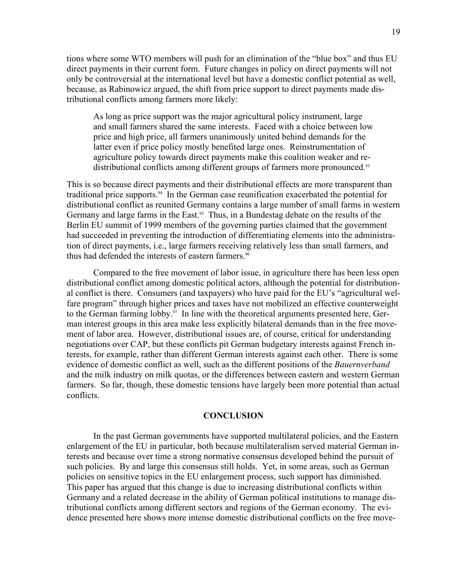tions where some WTO members will push for an elimination of the "blue box" and thus EU direct payments in their current form. Future changes in policy on direct payments will not only be controversial at the international level but have a domestic conflict potential as well, because, as Rabinowicz argued, the shift from price support to direct payments made distributional conflicts among farmers more likely:

As long as price support was the major agricultural policy instrument, large and small farmers shared the same interests. Faced with a choice between low price and high price, all farmers unanimously united behind demands for the latter even if price policy mostly benefited large ones. Reinstrumentation of agriculture policy towards direct payments make this coalition weaker and redistributional conflicts among different groups of farmers more pronounced.<sup>93</sup>

This is so because direct payments and their distributional effects are more transparent than traditional price supports.<sup>94</sup> In the German case reunification exacerbated the potential for distributional conflict as reunited Germany contains a large number of small farms in western Germany and large farms in the East.<sup>95</sup> Thus, in a Bundestag debate on the results of the Berlin EU summit of 1999 members of the governing parties claimed that the government had succeeded in preventing the introduction of differentiating elements into the administration of direct payments, i.e., large farmers receiving relatively less than small farmers, and thus had defended the interests of eastern farmers.<sup>96</sup>

 Compared to the free movement of labor issue, in agriculture there has been less open distributional conflict among domestic political actors, although the potential for distributional conflict is there. Consumers (and taxpayers) who have paid for the EU's "agricultural welfare program" through higher prices and taxes have not mobilized an effective counterweight to the German farming lobby.<sup>97</sup> In line with the theoretical arguments presented here, German interest groups in this area make less explicitly bilateral demands than in the free movement of labor area. However, distributional issues are, of course, critical for understanding negotiations over CAP, but these conflicts pit German budgetary interests against French interests, for example, rather than different German interests against each other. There is some evidence of domestic conflict as well, such as the different positions of the *Bauernverband* and the milk industry on milk quotas, or the differences between eastern and western German farmers. So far, though, these domestic tensions have largely been more potential than actual conflicts.

### **CONCLUSION**

 In the past German governments have supported multilateral policies, and the Eastern enlargement of the EU in particular, both because multilateralism served material German interests and because over time a strong normative consensus developed behind the pursuit of such policies. By and large this consensus still holds. Yet, in some areas, such as German policies on sensitive topics in the EU enlargement process, such support has diminished. This paper has argued that this change is due to increasing distributional conflicts within Germany and a related decrease in the ability of German political institutions to manage distributional conflicts among different sectors and regions of the German economy. The evidence presented here shows more intense domestic distributional conflicts on the free move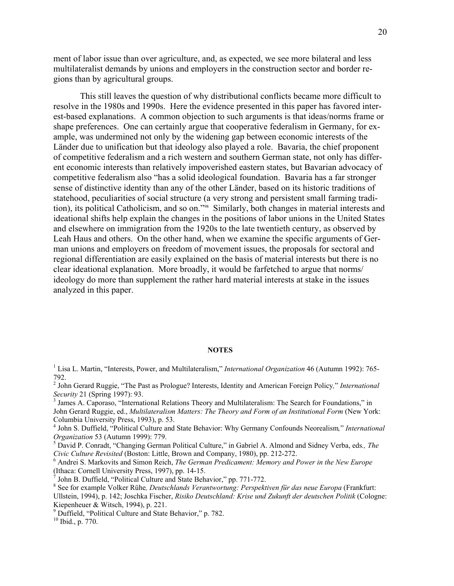ment of labor issue than over agriculture, and, as expected, we see more bilateral and less multilateralist demands by unions and employers in the construction sector and border regions than by agricultural groups.

 This still leaves the question of why distributional conflicts became more difficult to resolve in the 1980s and 1990s. Here the evidence presented in this paper has favored interest-based explanations. A common objection to such arguments is that ideas/norms frame or shape preferences. One can certainly argue that cooperative federalism in Germany, for example, was undermined not only by the widening gap between economic interests of the Länder due to unification but that ideology also played a role. Bavaria, the chief proponent of competitive federalism and a rich western and southern German state, not only has different economic interests than relatively impoverished eastern states, but Bavarian advocacy of competitive federalism also "has a solid ideological foundation. Bavaria has a far stronger sense of distinctive identity than any of the other Länder, based on its historic traditions of statehood, peculiarities of social structure (a very strong and persistent small farming tradition), its political Catholicism, and so on."98 Similarly, both changes in material interests and ideational shifts help explain the changes in the positions of labor unions in the United States and elsewhere on immigration from the 1920s to the late twentieth century, as observed by Leah Haus and others. On the other hand, when we examine the specific arguments of German unions and employers on freedom of movement issues, the proposals for sectoral and regional differentiation are easily explained on the basis of material interests but there is no clear ideational explanation. More broadly, it would be farfetched to argue that norms/ ideology do more than supplement the rather hard material interests at stake in the issues analyzed in this paper.

#### **NOTES**

- 2 John Gerard Ruggie, "The Past as Prologue? Interests, Identity and American Foreign Policy*,*" *International Security* 21 (Spring 1997): 93.<br><sup>3</sup> James A. Caporaso, "International Relations Theory and Multilateralism: The Search for Foundations," in
- John Gerard Ruggie, ed., *Multilateralism Matters: The Theory and Form of an Institutional Form* (New York: Columbia University Press, 1993), p. 53.
- 4 John S. Duffield, "Political Culture and State Behavior: Why Germany Confounds Neorealism*,*" *International Organization* 53 (Autumn 1999): 779. 5
- <sup>5</sup> David P. Conradt, "Changing German Political Culture," in Gabriel A. Almond and Sidney Verba, eds., The *Civic Culture Revisited* (Boston: Little, Brown and Company, 1980), pp. 212-272. 6
- Andrei S. Markovits and Simon Reich, *The German Predicament: Memory and Power in the New Europe* (Ithaca: Cornell University Press, 1997), pp. 14-15. 7
- $<sup>7</sup>$  John B. Duffield, "Political Culture and State Behavior," pp. 771-772.</sup>
- 8 See for example Volker Rühe*, Deutschlands Verantwortung: Perspektiven für das neue Europa* (Frankfurt: Ullstein, 1994), p. 142; Joschka Fischer, *Risiko Deutschland: Krise und Zukunft der deutschen Politik* (Cologne: Kiepenheuer & Witsch, 1994), p. 221.
- <sup>9</sup> Duffield, "Political Culture and State Behavior," p. 782.

10 Ibid., p. 770.

<sup>&</sup>lt;sup>1</sup> Lisa L. Martin, "Interests, Power, and Multilateralism," *International Organization* 46 (Autumn 1992): 765-792.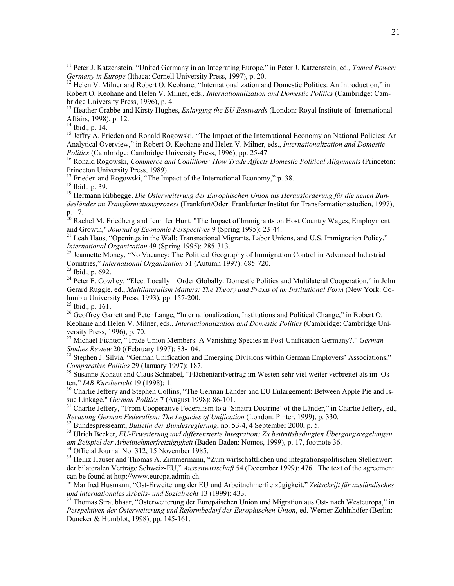<sup>11</sup> Peter J. Katzenstein, "United Germany in an Integrating Europe," in Peter J. Katzenstein, ed., *Tamed Power: Germany in Europe* (Ithaca: Cornell University Press, 1997), p. 20.

<sup>12</sup> Helen V. Milner and Robert O. Keohane, "Internationalization and Domestic Politics: An Introduction," in Robert O. Keohane and Helen V. Milner, eds.*, Internationalization and Domestic Politics* (Cambridge: Cambridge University Press, 1996), p. 4.

<sup>13</sup> Heather Grabbe and Kirsty Hughes, *Enlarging the EU Eastwards* (London: Royal Institute of International Affairs, 1998), p. 12.

14 Ibid., p. 14.

<sup>15</sup> Jeffry A. Frieden and Ronald Rogowski, "The Impact of the International Economy on National Policies: An Analytical Overview," in Robert O. Keohane and Helen V. Milner, eds., *Internationalization and Domestic* 

*Politics* (Cambridge: Cambridge University Press, 1996), pp. 25-47.<br><sup>16</sup> Ronald Rogowski, *Commerce and Coalitions: How Trade Affects Domestic Political Alignments* (Princeton: Princeton University Press, 1989).

<sup>17</sup> Frieden and Rogowski, "The Impact of the International Economy," p. 38.

18 Ibid., p. 39.

19 Hermann Ribhegge, *Die Osterweiterung der Europäischen Union als Herausforderung für die neuen Bundesländer im Transformationsprozess* (Frankfurt/Oder: Frankfurter Institut für Transformationsstudien, 1997), p. 17.

<sup>20</sup> Rachel M. Friedberg and Jennifer Hunt, "The Impact of Immigrants on Host Country Wages, Employment

and Growth," *Journal of Economic Perspectives* 9 (Spring 1995): 23-44.<br><sup>21</sup> Leah Haus, "Openings in the Wall: Transnational Migrants, Labor Unions, and U.S. Immigration Policy,"<br>*International Organization* 49 (Spring 199

<sup>22</sup> Jeannette Money, "No Vacancy: The Political Geography of Immigration Control in Advanced Industrial Countries," *International Organization* 51 (Autumn 1997): 685-720. 23 Ibid., p. 692.

<sup>24</sup> Peter F. Cowhey, "Elect Locally—Order Globally: Domestic Politics and Multilateral Cooperation," in John Gerard Ruggie, ed., *Multilateralism Matters: The Theory and Praxis of an Institutional Form* (New York: Columbia University Press, 1993), pp. 157-200.

 $^{25}$  Ibid., p. 161.

<sup>26</sup> Geoffrey Garrett and Peter Lange, "Internationalization, Institutions and Political Change," in Robert O. Keohane and Helen V. Milner, eds., *Internationalization and Domestic Politics* (Cambridge: Cambridge University Press, 1996), p. 70.

27 Michael Fichter, "Trade Union Members: A Vanishing Species in Post-Unification Germany?," *German* 

*Studies Review* 20 ((February 1997): 83-104.<br><sup>28</sup> Stephen J. Silvia, "German Unification and Emerging Divisions within German Employers' Associations,"<br>*Comparative Politics* 29 (January 1997): 187.

<sup>29</sup> Susanne Kohaut and Claus Schnabel, "Flächentarifvertrag im Westen sehr viel weiter verbreitet als im Os-<br>ten." *IAB Kurzbericht* 19 (1998): 1.

<sup>30</sup> Charlie Jeffery and Stephen Collins, "The German Länder and EU Enlargement: Between Apple Pie and Is-<br>sue Linkage," *German Politics* 7 (August 1998): 86-101.

<sup>31</sup> Charlie Jeffery, "From Cooperative Federalism to a 'Sinatra Doctrine' of the Länder," in Charlie Jeffery, ed., Recasting German Federalism: The Legacies of Unification (London: Pinter, 1999), p. 330.

 $32$  Bundespresseamt, *Bulletin der Bundesregierung*, no. 53-4, 4 September 2000, p. 5.<br><sup>33</sup> Ulrich Becker, *EU-Erweiterung und differenzierte Integration: Zu beitrittsbedingten Übergangsregelungen am Beispiel der Arbeitnehmerfreizügigkeit* (Baden-Baden: Nomos, 1999), p. 17, footnote 36. 34 Official Journal No. 312, 15 November 1985.

35 Heinz Hauser and Thomas A. Zimmermann, "Zum wirtschaftlichen und integrationspolitischen Stellenwert der bilateralen Verträge Schweiz-EU," *Aussenwirtschaft* 54 (December 1999): 476. The text of the agreement can be found at http://www.europa.admin.ch.

36 Manfred Husmann, "Ost-Erweiterung der EU und Arbeitnehmerfreizügigkeit," *Zeitschrift für ausländisches und internationales Arbeits- und Sozialrecht* 13 (1999): 433.<br><sup>37</sup> Thomas Straubhaar, "Osterweiterung der Europäischen Union und Migration aus Ost- nach Westeuropa," in

*Perspektiven der Osterweiterung und Reformbedarf der Europäischen Union*, ed. Werner Zohlnhöfer (Berlin: Duncker & Humblot, 1998), pp. 145-161.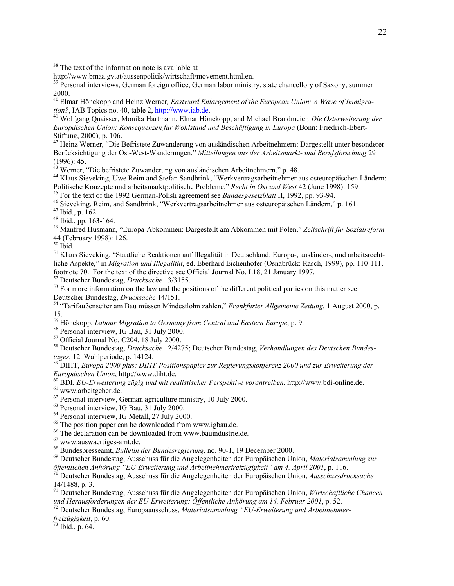<sup>38</sup> The text of the information note is available at

http://www.bmaa.gv.at/aussenpolitik/wirtschaft/movement.html.en.

<sup>39</sup> Personal interviews, German foreign office, German labor ministry, state chancellory of Saxony, summer 2000.

<sup>40</sup> Elmar Hönekopp and Heinz Werner, *Eastward Enlargement of the European Union: A Wave of Immigration?*, IAB Topics no. 40, table 2, http://www.iab.de.

<sup>41</sup> Wolfgang Quaisser, Monika Hartmann, Elmar Hönekopp, and Michael Brandmeier, Die Osterweiterung der *Europäischen Union: Konsequenzen für Wohlstand und Beschäftigung in Europa* (Bonn: Friedrich-Ebert-Stiftung, 2000), p. 106.

<sup>42</sup> Heinz Werner, "Die Befristete Zuwanderung von ausländischen Arbeitnehmern: Dargestellt unter besonderer Berücksichtigung der Ost-West-Wanderungen," *Mitteilungen aus der Arbeitsmarkt- und Berufsforschung* 29 (1996): 45.

<sup>43</sup> Werner, "Die befristete Zuwanderung von ausländischen Arbeitnehmern," p. 48.

<sup>44</sup> Klaus Sieveking, Uwe Reim and Stefan Sandbrink, "Werkvertragsarbeitnehmer aus osteuropäischen Ländern: Politische Konzepte und arbeitsmarktpolitische Probleme," Recht in Ost und West 42 (June 1998): 159.

<sup>45</sup> For the text of the 1992 German-Polish agreement see *Bundesgesetzblatt* II, 1992, pp. 93-94.<br><sup>46</sup> Sieveking, Reim, and Sandbrink, "Werkvertragsarbeitnehmer aus osteuropäischen Ländern," p. 161.<br><sup>47</sup> Ibid., p. 162.

 $48$  Ibid., pp. 163-164.

49 Manfred Husmann, "Europa-Abkommen: Dargestellt am Abkommen mit Polen," *Zeitschrift für Sozialreform* 44 (February 1998): 126.

 $50$  Ibid.

51 Klaus Sieveking, "Staatliche Reaktionen auf Illegalität in Deutschland: Europa-, ausländer-, und arbeitsrechtliche Aspekte," in *Migration und Illegalität*, ed. Eberhard Eichenhofer (Osnabrück: Rasch, 1999), pp. 110-111, footnote 70. For the text of the directive see Official Journal No. L18, 21 January 1997.

<sup>52</sup> Deutscher Bundestag, *Drucksache* 13/3155.<br><sup>53</sup> For more information on the law and the positions of the different political parties on this matter see<br>Deutscher Bundestag, *Drucksache* 14/151.

<sup>54</sup> "Tarifaußenseiter am Bau müssen Mindestlohn zahlen," *Frankfurter Allgemeine Zeitung*, 1 August 2000, p. 15.

<sup>55</sup> Hönekopp, *Labour Migration to Germany from Central and Eastern Europe*, p. 9.<br><sup>56</sup> Personal interview, IG Bau, 31 July 2000.

57 Official Journal No. C204, 18 July 2000.

58 Deutscher Bundestag, *Drucksache* 12/4275; Deutscher Bundestag, *Verhandlungen des Deutschen Bundes-*

*tages*, 12. Wahlperiode, p. 14124. 59 DIHT, *Europa 2000 plus: DIHT-Positionspapier zur Regierungskonferenz 2000 und zur Erweiterung der* 

<sup>60</sup> BDI, *EU-Erweiterung zügig und mit realistischer Perspektive vorantreiben*, http://www.bdi-online.de. <sup>61</sup> www.arbeitgeber.de.

<sup>62</sup> Personal interview, German agriculture ministry, 10 July 2000.

63 Personal interview, IG Bau, 31 July 2000.

64 Personal interview, IG Metall, 27 July 2000.

<sup>65</sup> The position paper can be downloaded from www.igbau.de.

66 The declaration can be downloaded from www.bauindustrie.de.

 $^{67}$  www.auswaertiges-amt.de.<br> $^{68}$  Bundespresseamt, *Bulletin der Bundesregierung*, no. 90-1, 19 December 2000.

<sup>69</sup> Deutscher Bundestag, Ausschuss für die Angelegenheiten der Europäischen Union, Materialsammlung zur öffentlichen Anhörung "EU-Erweiterung und Arbeitnehmerfreizügigkeit" am 4. April 2001, p. 116.

*öffentlichen Anhörung "EU-Erweiterung und Arbeitnehmerfreizügigkeit" am 4. April 2001*, p. 116. 70 Deutscher Bundestag, Ausschuss für die Angelegenheiten der Europäischen Union, *Ausschussdrucksache* 14/1488, p. 3.

71 Deutscher Bundestag, Ausschuss für die Angelegenheiten der Europäischen Union, *Wirtschaftliche Chancen* 

<sup>72</sup> Deutscher Bundestag, Europaausschuss, *Materialsammlung "EU-Erweiterung und Arbeitnehmer-*

*freizügigkeit*, p. 60. 73 Ibid., p. 64.